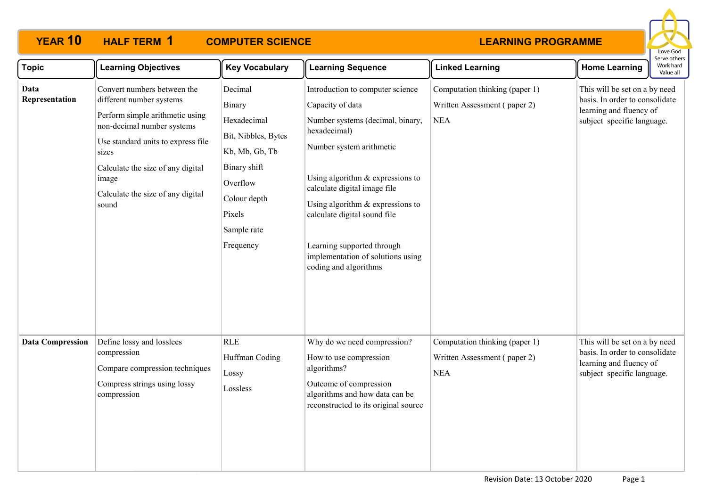

| <b>Topic</b>            | <b>Learning Objectives</b>                                                                                                                                                                                                                                          | <b>Key Vocabulary</b>                                                                                                                                       | <b>Learning Sequence</b>                                                                                                                                                                                                                                                                                                                                                   | <b>Linked Learning</b>                                                       | <b>Home Learning</b>                                                                                                     | Work hard<br>Value all |
|-------------------------|---------------------------------------------------------------------------------------------------------------------------------------------------------------------------------------------------------------------------------------------------------------------|-------------------------------------------------------------------------------------------------------------------------------------------------------------|----------------------------------------------------------------------------------------------------------------------------------------------------------------------------------------------------------------------------------------------------------------------------------------------------------------------------------------------------------------------------|------------------------------------------------------------------------------|--------------------------------------------------------------------------------------------------------------------------|------------------------|
| Data<br>Representation  | Convert numbers between the<br>different number systems<br>Perform simple arithmetic using<br>non-decimal number systems<br>Use standard units to express file<br>sizes<br>Calculate the size of any digital<br>image<br>Calculate the size of any digital<br>sound | Decimal<br>Binary<br>Hexadecimal<br>Bit, Nibbles, Bytes<br>Kb, Mb, Gb, Tb<br>Binary shift<br>Overflow<br>Colour depth<br>Pixels<br>Sample rate<br>Frequency | Introduction to computer science<br>Capacity of data<br>Number systems (decimal, binary,<br>hexadecimal)<br>Number system arithmetic<br>Using algorithm $&$ expressions to<br>calculate digital image file<br>Using algorithm & expressions to<br>calculate digital sound file<br>Learning supported through<br>implementation of solutions using<br>coding and algorithms | Computation thinking (paper 1)<br>Written Assessment (paper 2)<br><b>NEA</b> | This will be set on a by need<br>basis. In order to consolidate<br>learning and fluency of<br>subject specific language. |                        |
| <b>Data Compression</b> | Define lossy and losslees<br>compression<br>Compare compression techniques<br>Compress strings using lossy<br>compression                                                                                                                                           | <b>RLE</b><br>Huffman Coding<br>Lossy<br>Lossless                                                                                                           | Why do we need compression?<br>How to use compression<br>algorithms?<br>Outcome of compression<br>algorithms and how data can be<br>reconstructed to its original source                                                                                                                                                                                                   | Computation thinking (paper 1)<br>Written Assessment (paper 2)<br><b>NEA</b> | This will be set on a by need<br>basis. In order to consolidate<br>learning and fluency of<br>subject specific language. |                        |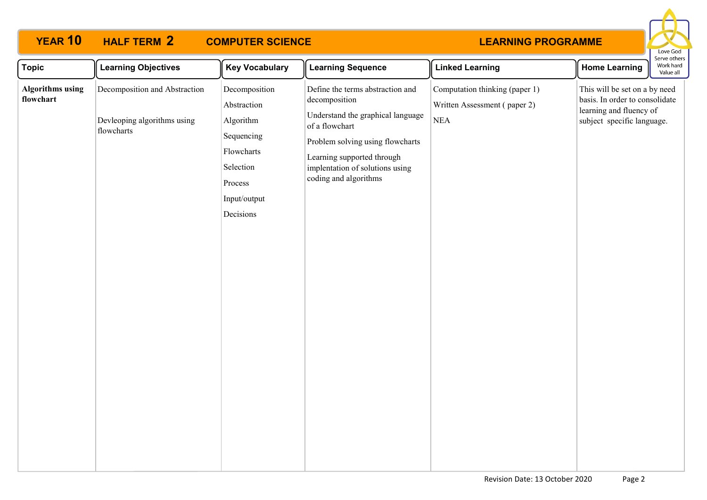

| <b>Topic</b>                         | <b>Learning Objectives</b>                                                 | <b>Key Vocabulary</b>                                                                                                      | <b>Learning Sequence</b>                                                                                                                                                                                                               | <b>Linked Learning</b>                                                       | <b>Home Learning</b>                                                                                                     | Work hard<br>Value all |
|--------------------------------------|----------------------------------------------------------------------------|----------------------------------------------------------------------------------------------------------------------------|----------------------------------------------------------------------------------------------------------------------------------------------------------------------------------------------------------------------------------------|------------------------------------------------------------------------------|--------------------------------------------------------------------------------------------------------------------------|------------------------|
| <b>Algorithms using</b><br>flowchart | Decomposition and Abstraction<br>Devleoping algorithms using<br>flowcharts | Decomposition<br>Abstraction<br>Algorithm<br>Sequencing<br>Flowcharts<br>Selection<br>Process<br>Input/output<br>Decisions | Define the terms abstraction and<br>decomposition<br>Understand the graphical language<br>of a flowchart<br>Problem solving using flowcharts<br>Learning supported through<br>implentation of solutions using<br>coding and algorithms | Computation thinking (paper 1)<br>Written Assessment (paper 2)<br><b>NEA</b> | This will be set on a by need<br>basis. In order to consolidate<br>learning and fluency of<br>subject specific language. | serve otriers          |
|                                      |                                                                            |                                                                                                                            |                                                                                                                                                                                                                                        |                                                                              |                                                                                                                          |                        |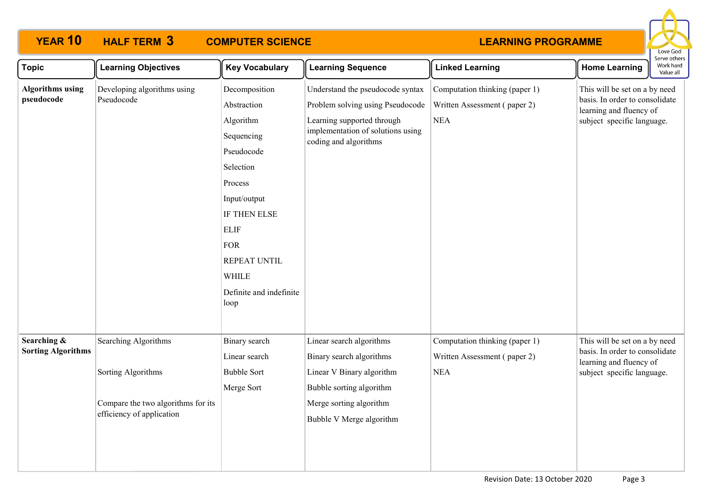

| <b>Topic</b>                             | <b>Learning Objectives</b>                                                                                           | <b>Key Vocabulary</b>                                                                                                                                                                                                         | <b>Learning Sequence</b>                                                                                                                                             | <b>Linked Learning</b>                                                       | <b>Home Learning</b>                                                                                                     | serve other<br>Work hard<br>Value all |
|------------------------------------------|----------------------------------------------------------------------------------------------------------------------|-------------------------------------------------------------------------------------------------------------------------------------------------------------------------------------------------------------------------------|----------------------------------------------------------------------------------------------------------------------------------------------------------------------|------------------------------------------------------------------------------|--------------------------------------------------------------------------------------------------------------------------|---------------------------------------|
| <b>Algorithms using</b><br>pseudocode    | Developing algorithms using<br>Pseudocode                                                                            | Decomposition<br>Abstraction<br>Algorithm<br>Sequencing<br>Pseudocode<br>Selection<br>Process<br>Input/output<br>IF THEN ELSE<br><b>ELIF</b><br><b>FOR</b><br>REPEAT UNTIL<br><b>WHILE</b><br>Definite and indefinite<br>loop | Understand the pseudocode syntax<br>Problem solving using Pseudocode<br>Learning supported through<br>implementation of solutions using<br>coding and algorithms     | Computation thinking (paper 1)<br>Written Assessment (paper 2)<br><b>NEA</b> | This will be set on a by need<br>basis. In order to consolidate<br>learning and fluency of<br>subject specific language. |                                       |
| Searching &<br><b>Sorting Algorithms</b> | <b>Searching Algorithms</b><br>Sorting Algorithms<br>Compare the two algorithms for its<br>efficiency of application | Binary search<br>Linear search<br><b>Bubble Sort</b><br>Merge Sort                                                                                                                                                            | Linear search algorithms<br>Binary search algorithms<br>Linear V Binary algorithm<br>Bubble sorting algorithm<br>Merge sorting algorithm<br>Bubble V Merge algorithm | Computation thinking (paper 1)<br>Written Assessment (paper 2)<br><b>NEA</b> | This will be set on a by need<br>basis. In order to consolidate<br>learning and fluency of<br>subject specific language. |                                       |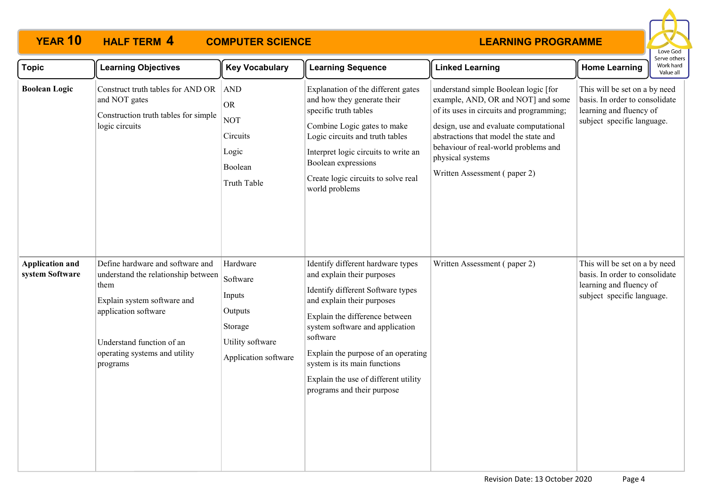

| <b>Topic</b>                              | <b>Learning Objectives</b>                                                                                                                                                                                       | <b>Key Vocabulary</b>                                                                            | <b>Learning Sequence</b>                                                                                                                                                                                                                                                                                                                                         | <b>Linked Learning</b>                                                                                                                                                                                                                                                                                | <b>Home Learning</b>                                                                                                     | Work hard<br>Value all |
|-------------------------------------------|------------------------------------------------------------------------------------------------------------------------------------------------------------------------------------------------------------------|--------------------------------------------------------------------------------------------------|------------------------------------------------------------------------------------------------------------------------------------------------------------------------------------------------------------------------------------------------------------------------------------------------------------------------------------------------------------------|-------------------------------------------------------------------------------------------------------------------------------------------------------------------------------------------------------------------------------------------------------------------------------------------------------|--------------------------------------------------------------------------------------------------------------------------|------------------------|
| <b>Boolean Logic</b>                      | Construct truth tables for AND OR<br>and NOT gates<br>Construction truth tables for simple<br>logic circuits                                                                                                     | AND<br><b>OR</b><br><b>NOT</b><br>Circuits<br>Logic<br>Boolean<br>Truth Table                    | Explanation of the different gates<br>and how they generate their<br>specific truth tables<br>Combine Logic gates to make<br>Logic circuits and truth tables<br>Interpret logic circuits to write an<br>Boolean expressions<br>Create logic circuits to solve real<br>world problems                                                                             | understand simple Boolean logic [for<br>example, AND, OR and NOT] and some<br>of its uses in circuits and programming;<br>design, use and evaluate computational<br>abstractions that model the state and<br>behaviour of real-world problems and<br>physical systems<br>Written Assessment (paper 2) | This will be set on a by need<br>basis. In order to consolidate<br>learning and fluency of<br>subject specific language. |                        |
| <b>Application and</b><br>system Software | Define hardware and software and<br>understand the relationship between<br>them<br>Explain system software and<br>application software<br>Understand function of an<br>operating systems and utility<br>programs | Hardware<br>Software<br>Inputs<br>Outputs<br>Storage<br>Utility software<br>Application software | Identify different hardware types<br>and explain their purposes<br>Identify different Software types<br>and explain their purposes<br>Explain the difference between<br>system software and application<br>software<br>Explain the purpose of an operating<br>system is its main functions<br>Explain the use of different utility<br>programs and their purpose | Written Assessment (paper 2)                                                                                                                                                                                                                                                                          | This will be set on a by need<br>basis. In order to consolidate<br>learning and fluency of<br>subject specific language. |                        |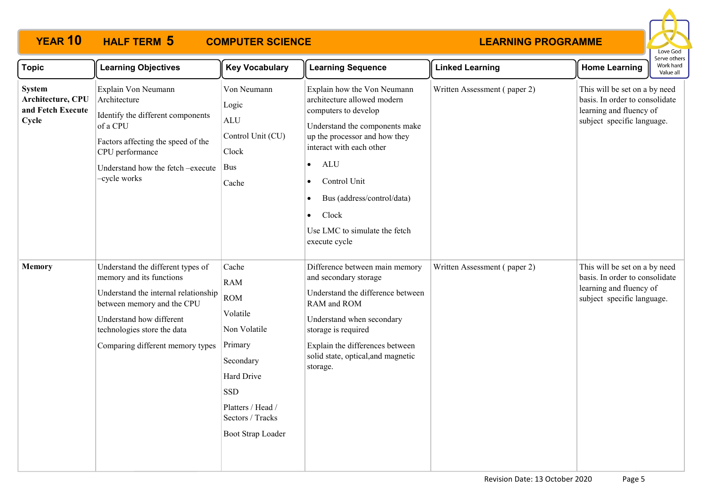

| <b>Topic</b>                                                     | <b>Learning Objectives</b>                                                                                                                                                                                                         | <b>Key Vocabulary</b>                                                                                                                                                           | <b>Learning Sequence</b>                                                                                                                                                                                                                                                                                                                        | <b>Linked Learning</b>       | <b>Home Learning</b>                                                                                                     | erve other:<br>Work hard<br>Value all |
|------------------------------------------------------------------|------------------------------------------------------------------------------------------------------------------------------------------------------------------------------------------------------------------------------------|---------------------------------------------------------------------------------------------------------------------------------------------------------------------------------|-------------------------------------------------------------------------------------------------------------------------------------------------------------------------------------------------------------------------------------------------------------------------------------------------------------------------------------------------|------------------------------|--------------------------------------------------------------------------------------------------------------------------|---------------------------------------|
| <b>System</b><br>Architecture, CPU<br>and Fetch Execute<br>Cycle | Explain Von Neumann<br>Architecture<br>Identify the different components<br>of a CPU<br>Factors affecting the speed of the<br>CPU performance<br>Understand how the fetch -execute<br>-cycle works                                 | Von Neumann<br>Logic<br><b>ALU</b><br>Control Unit (CU)<br>Clock<br>Bus<br>Cache                                                                                                | Explain how the Von Neumann<br>architecture allowed modern<br>computers to develop<br>Understand the components make<br>up the processor and how they<br>interact with each other<br><b>ALU</b><br>$\bullet$<br>Control Unit<br>Bus (address/control/data)<br>$\bullet$<br>Clock<br>$\bullet$<br>Use LMC to simulate the fetch<br>execute cycle | Written Assessment (paper 2) | This will be set on a by need<br>basis. In order to consolidate<br>learning and fluency of<br>subject specific language. |                                       |
| <b>Memory</b>                                                    | Understand the different types of<br>memory and its functions<br>Understand the internal relationship<br>between memory and the CPU<br>Understand how different<br>technologies store the data<br>Comparing different memory types | Cache<br><b>RAM</b><br><b>ROM</b><br>Volatile<br>Non Volatile<br>Primary<br>Secondary<br>Hard Drive<br><b>SSD</b><br>Platters / Head /<br>Sectors / Tracks<br>Boot Strap Loader | Difference between main memory<br>and secondary storage<br>Understand the difference between<br>RAM and ROM<br>Understand when secondary<br>storage is required<br>Explain the differences between<br>solid state, optical, and magnetic<br>storage.                                                                                            | Written Assessment (paper 2) | This will be set on a by need<br>basis. In order to consolidate<br>learning and fluency of<br>subject specific language. |                                       |